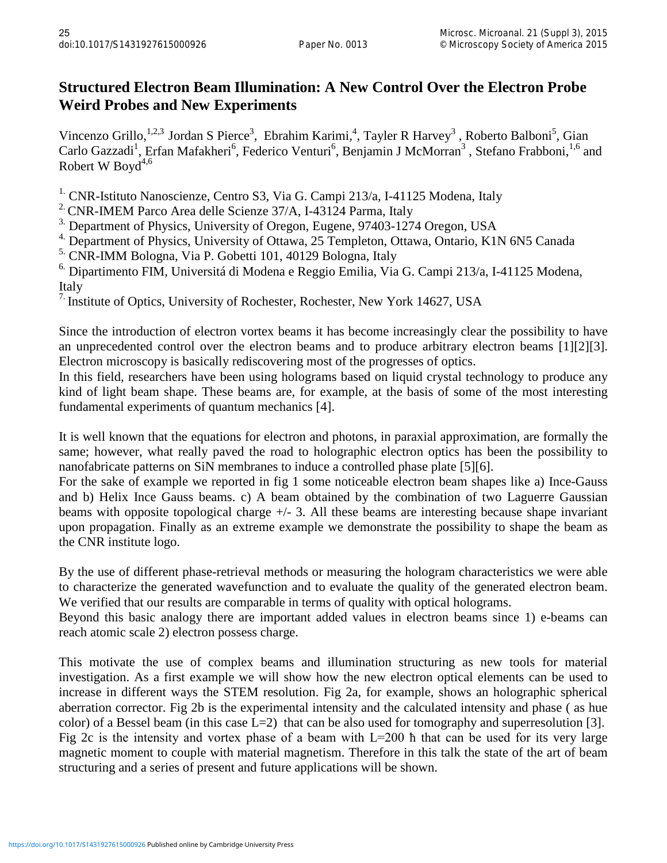## **Structured Electron Beam Illumination: A New Control Over the Electron Probe Weird Probes and New Experiments**

Vincenzo Grillo, <sup>1,2,3</sup> Jordan S Pierce<sup>3</sup>, Ebrahim Karimi,<sup>4</sup>, Tayler R Harvey<sup>3</sup>, Roberto Balboni<sup>5</sup>, Gian Carlo Gazzadi<sup>1</sup>, Erfan Mafakheri<sup>6</sup>, Federico Venturi<sup>6</sup>, Benjamin J McMorran<sup>3</sup>, Stefano Frabboni, <sup>1,6</sup> and Robert W Boyd<sup>4,6</sup>

<sup>1.</sup> CNR-Istituto Nanoscienze, Centro S3, Via G. Campi 213/a, I-41125 Modena, Italy

<sup>2.</sup> CNR-IMEM Parco Area delle Scienze 37/A, I-43124 Parma, Italy

<sup>3.</sup> Department of Physics, University of Oregon, Eugene, 97403-1274 Oregon, USA

<sup>4</sup>. Department of Physics, University of Ottawa, 25 Templeton, Ottawa, Ontario, K1N 6N5 Canada

<sup>5.</sup> CNR-IMM Bologna, Via P. Gobetti 101, 40129 Bologna, Italy

 $6.$  Dipartimento FIM, Universitá di Modena e Reggio Emilia, Via G. Campi 213/a, I-41125 Modena, Italy

<sup>7.</sup> Institute of Optics, University of Rochester, Rochester, New York 14627, USA

Since the introduction of electron vortex beams it has become increasingly clear the possibility to have an unprecedented control over the electron beams and to produce arbitrary electron beams [1][2][3]. Electron microscopy is basically rediscovering most of the progresses of optics.

In this field, researchers have been using holograms based on liquid crystal technology to produce any kind of light beam shape. These beams are, for example, at the basis of some of the most interesting fundamental experiments of quantum mechanics [4].

It is well known that the equations for electron and photons, in paraxial approximation, are formally the same; however, what really paved the road to holographic electron optics has been the possibility to nanofabricate patterns on SiN membranes to induce a controlled phase plate [5][6].

For the sake of example we reported in fig 1 some noticeable electron beam shapes like a) Ince-Gauss and b) Helix Ince Gauss beams. c) A beam obtained by the combination of two Laguerre Gaussian beams with opposite topological charge +/- 3. All these beams are interesting because shape invariant upon propagation. Finally as an extreme example we demonstrate the possibility to shape the beam as the CNR institute logo.

By the use of different phase-retrieval methods or measuring the hologram characteristics we were able to characterize the generated wavefunction and to evaluate the quality of the generated electron beam. We verified that our results are comparable in terms of quality with optical holograms.

Beyond this basic analogy there are important added values in electron beams since 1) e-beams can reach atomic scale 2) electron possess charge.

This motivate the use of complex beams and illumination structuring as new tools for material investigation. As a first example we will show how the new electron optical elements can be used to increase in different ways the STEM resolution. Fig 2a, for example, shows an holographic spherical aberration corrector. Fig 2b is the experimental intensity and the calculated intensity and phase ( as hue color) of a Bessel beam (in this case  $L=2$ ) that can be also used for tomography and superresolution [3]. Fig 2c is the intensity and vortex phase of a beam with L=200 ħ that can be used for its very large magnetic moment to couple with material magnetism. Therefore in this talk the state of the art of beam structuring and a series of present and future applications will be shown.